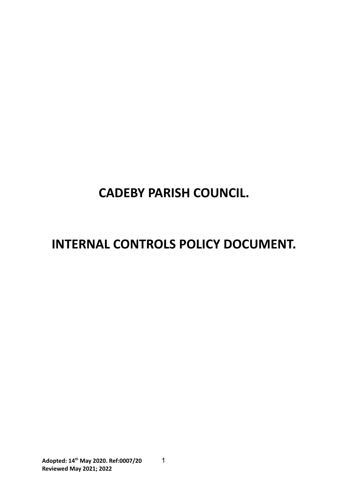# **CADEBY PARISH COUNCIL.**

# **INTERNAL CONTROLS POLICY DOCUMENT.**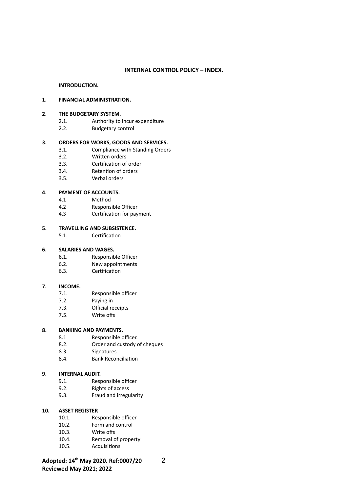#### **INTERNAL CONTROL POLICY – INDEX.**

#### **INTRODUCTION.**

#### **1. FINANCIAL ADMINISTRATION.**

#### **2. THE BUDGETARY SYSTEM.**

- 2.1. Authority to incur expenditure
- 2.2. Budgetary control

#### **3. ORDERS FOR WORKS, GOODS AND SERVICES.**

- 3.1. Compliance with Standing Orders
- 3.2. Written orders
- 3.3. Certification of order
- 3.4. Retenton of orders
- 3.5. Verbal orders

#### **4. PAYMENT OF ACCOUNTS.**

- 4.1 Method
- 4.2 Responsible Officer
- 4.3 Certification for payment

#### **5. TRAVELLING AND SUBSISTENCE.**

5.1. Certification

#### **6. SALARIES AND WAGES.**

- 6.1. Responsible Officer
- 6.2. New appointments
- 6.3. Certification

#### **7. INCOME.**

- 7.1. Responsible officer
- 7.2. Paying in
- 7.3. Official receipts
- 7.5. Write offs

#### **8. BANKING AND PAYMENTS.**

- 8.1 Responsible officer.
- 8.2. Order and custody of cheques
- 8.3. Signatures
- 8.4. Bank Reconciliaton

#### **9. INTERNAL AUDIT.**

- 9.1. Responsible officer
- 9.2. Rights of access
- 9.3. Fraud and irregularity

#### **10. ASSET REGISTER**

- 10.1. Responsible officer
- 10.2. Form and control
- 10.3. Write offs
- 10.4. Removal of property
- 10.5. Acquisitons

**Adopted: 14th May 2020. Ref:0007/20** 2 **Reviewed May 2021; 2022**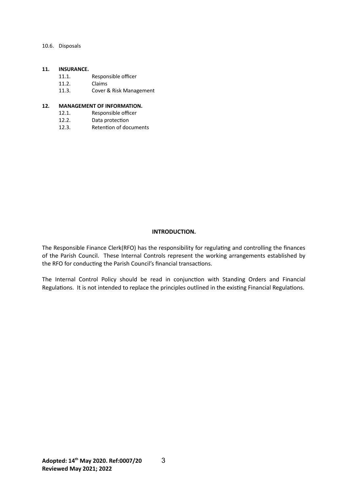10.6. Disposals

#### **11. INSURANCE.**

- 11.1. Responsible officer
- 11.2. Claims
- 11.3. Cover & Risk Management

#### **12. MANAGEMENT OF INFORMATION.**

- 12.1. Responsible officer
- 12.2. Data protection<br>12.3. Retention of doc
- Retention of documents

#### **INTRODUCTION.**

The Responsible Finance Clerk(RFO) has the responsibility for regulating and controlling the finances of the Parish Council. These Internal Controls represent the working arrangements established by the RFO for conducting the Parish Council's financial transactions.

The Internal Control Policy should be read in conjunction with Standing Orders and Financial Regulations. It is not intended to replace the principles outlined in the existing Financial Regulations.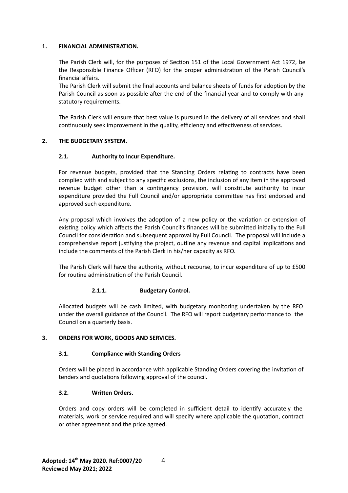#### **1. FINANCIAL ADMINISTRATION.**

The Parish Clerk will, for the purposes of Secton 151 of the Local Government Act 1972, be the Responsible Finance Officer (RFO) for the proper administration of the Parish Council's financial affairs.

The Parish Clerk will submit the final accounts and balance sheets of funds for adoption by the Parish Council as soon as possible after the end of the financial year and to comply with any statutory requirements.

The Parish Clerk will ensure that best value is pursued in the delivery of all services and shall continuously seek improvement in the quality, efficiency and effectiveness of services.

## **2. THE BUDGETARY SYSTEM.**

#### **2.1. Authority to Incur Expenditure.**

For revenue budgets, provided that the Standing Orders relating to contracts have been complied with and subject to any speciic exclusions, the inclusion of any item in the approved revenue budget other than a contingency provision, will constitute authority to incur expenditure provided the Full Council and/or appropriate committee has first endorsed and approved such expenditure.

Any proposal which involves the adoption of a new policy or the variation or extension of existing policy which affects the Parish Council's finances will be submitted initially to the Full Council for consideraton and subsequent approval by Full Council. The proposal will include a comprehensive report justfying the project, outline any revenue and capital implicatons and include the comments of the Parish Clerk in his/her capacity as RFO.

The Parish Clerk will have the authority, without recourse, to incur expenditure of up to £500 for routine administration of the Parish Council.

#### **2.1.1. Budgetary Control.**

Allocated budgets will be cash limited, with budgetary monitoring undertaken by the RFO under the overall guidance of the Council. The RFO will report budgetary performance to the Council on a quarterly basis.

## **3. ORDERS FOR WORK, GOODS AND SERVICES.**

#### **3.1. Compliance with Standing Orders**

Orders will be placed in accordance with applicable Standing Orders covering the invitaton of tenders and quotations following approval of the council.

#### **3.2. Written Orders.**

Orders and copy orders will be completed in sufficient detail to identify accurately the materials, work or service required and will specify where applicable the quotation, contract or other agreement and the price agreed.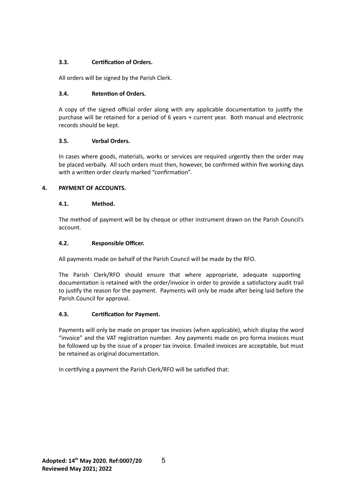# **3.3. Certicaton of Orders.**

All orders will be signed by the Parish Clerk.

# **3.4. Retenton of Orders.**

A copy of the signed official order along with any applicable documentation to justify the purchase will be retained for a period of 6 years + current year. Both manual and electronic records should be kept.

# **3.5. Verbal Orders.**

In cases where goods, materials, works or services are required urgently then the order may be placed verbally. All such orders must then, however, be confirmed within five working days with a written order clearly marked "confirmation".

# **4. PAYMENT OF ACCOUNTS.**

# **4.1. Method.**

The method of payment will be by cheque or other instrument drawn on the Parish Council's account.

# **4.2. Responsible Officer.**

All payments made on behalf of the Parish Council will be made by the RFO.

The Parish Clerk/RFO should ensure that where appropriate, adequate supporting documentaton is retained with the order/invoice in order to provide a satsfactory audit trail to justify the reason for the payment. Payments will only be made after being laid before the Parish Council for approval.

# **4.3. Certicaton for Payment.**

Payments will only be made on proper tax invoices (when applicable), which display the word "invoice" and the VAT registration number. Any payments made on pro forma invoices must be followed up by the issue of a proper tax invoice. Emailed invoices are acceptable, but must be retained as original documentation.

In certifying a payment the Parish Clerk/RFO will be satisfied that: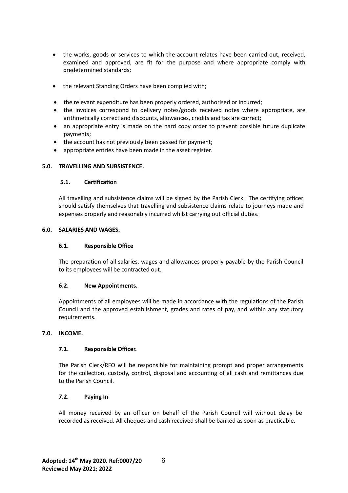- the works, goods or services to which the account relates have been carried out, received, examined and approved, are fit for the purpose and where appropriate comply with predetermined standards;
- the relevant Standing Orders have been complied with;
- the relevant expenditure has been properly ordered, authorised or incurred;
- the invoices correspond to delivery notes/goods received notes where appropriate, are arithmetically correct and discounts, allowances, credits and tax are correct;
- an appropriate entry is made on the hard copy order to prevent possible future duplicate payments;
- the account has not previously been passed for payment;
- appropriate entries have been made in the asset register.

## **5.0. TRAVELLING AND SUBSISTENCE.**

#### **5.1. Certicaton**

All travelling and subsistence claims will be signed by the Parish Clerk. The certifying officer should satsfy themselves that travelling and subsistence claims relate to journeys made and expenses properly and reasonably incurred whilst carrying out official duties.

#### **6.0. SALARIES AND WAGES.**

#### **6.1.** Responsible Office

The preparation of all salaries, wages and allowances properly payable by the Parish Council to its employees will be contracted out.

#### **6.2. New Appointments.**

Appointments of all employees will be made in accordance with the regulations of the Parish Council and the approved establishment, grades and rates of pay, and within any statutory requirements.

## **7.0. INCOME.**

## **7.1.** Responsible Officer.

The Parish Clerk/RFO will be responsible for maintaining prompt and proper arrangements for the collection, custody, control, disposal and accounting of all cash and remittances due to the Parish Council.

#### **7.2. Paying In**

All money received by an officer on behalf of the Parish Council will without delay be recorded as received. All cheques and cash received shall be banked as soon as practcable.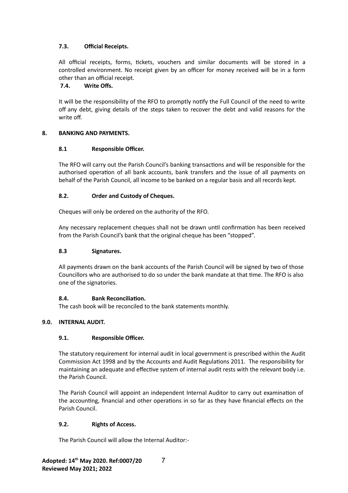# **7.3. Official Receipts.**

All official receipts, forms, tickets, vouchers and similar documents will be stored in a controlled environment. No receipt given by an officer for money received will be in a form other than an official receipt.

# **7.4. Write Offs.**

It will be the responsibility of the RFO to promptly notfy the Full Council of the need to write off any debt, giving details of the steps taken to recover the debt and valid reasons for the write off.

# **8. BANKING AND PAYMENTS.**

# 8.1 **Responsible Officer.**

The RFO will carry out the Parish Council's banking transactons and will be responsible for the authorised operaton of all bank accounts, bank transfers and the issue of all payments on behalf of the Parish Council, all income to be banked on a regular basis and all records kept.

# **8.2. Order and Custody of Cheques.**

Cheques will only be ordered on the authority of the RFO.

Any necessary replacement cheques shall not be drawn until confirmation has been received from the Parish Council's bank that the original cheque has been "stopped".

## **8.3 Signatures.**

All payments drawn on the bank accounts of the Parish Council will be signed by two of those Councillors who are authorised to do so under the bank mandate at that tme. The RFO is also one of the signatories.

## **8.4. Bank Reconciliaton.**

The cash book will be reconciled to the bank statements monthly.

## **9.0. INTERNAL AUDIT.**

## **9.1. Responsible Officer.**

The statutory requirement for internal audit in local government is prescribed within the Audit Commission Act 1998 and by the Accounts and Audit Regulatons 2011. The responsibility for maintaining an adequate and effective system of internal audit rests with the relevant body i.e. the Parish Council.

The Parish Council will appoint an independent Internal Auditor to carry out examinaton of the accounting, financial and other operations in so far as they have financial effects on the Parish Council.

## **9.2. Rights of Access.**

The Parish Council will allow the Internal Auditor:-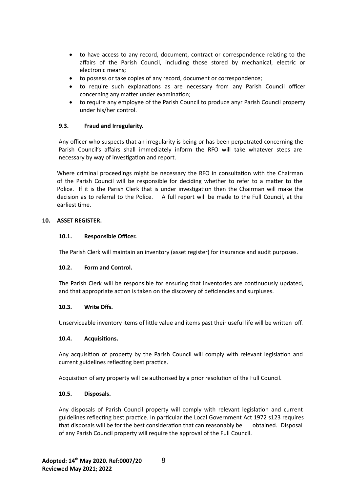- to have access to any record, document, contract or correspondence relatng to the affairs of the Parish Council, including those stored by mechanical, electric or electronic means;
- to possess or take copies of any record, document or correspondence;
- to require such explanations as are necessary from any Parish Council officer concerning any matter under examination;
- to require any employee of the Parish Council to produce anyr Parish Council property under his/her control.

## **9.3. Fraud and Irregularity.**

Any officer who suspects that an irregularity is being or has been perpetrated concerning the Parish Council's affairs shall immediately inform the RFO will take whatever steps are necessary by way of investigation and report.

Where criminal proceedings might be necessary the RFO in consultation with the Chairman of the Parish Council will be responsible for deciding whether to refer to a matter to the Police. If it is the Parish Clerk that is under investigation then the Chairman will make the decision as to referral to the Police. A full report will be made to the Full Council, at the earliest tme.

## **10. ASSET REGISTER.**

## 10.1. Responsible Officer.

The Parish Clerk will maintain an inventory (asset register) for insurance and audit purposes.

## **10.2. Form and Control.**

The Parish Clerk will be responsible for ensuring that inventories are continuously updated, and that appropriate action is taken on the discovery of deficiencies and surpluses.

#### **10.3. Write Offs.**

Unserviceable inventory items of little value and items past their useful life will be written off.

#### **10.4. Acquisitons.**

Any acquisiton of property by the Parish Council will comply with relevant legislaton and current guidelines reflecting best practice.

Acquisiton of any property will be authorised by a prior resoluton of the Full Council.

#### **10.5. Disposals.**

Any disposals of Parish Council property will comply with relevant legislation and current guidelines reflecting best practice. In particular the Local Government Act 1972 s123 requires that disposals will be for the best consideration that can reasonably be obtained. Disposal of any Parish Council property will require the approval of the Full Council.